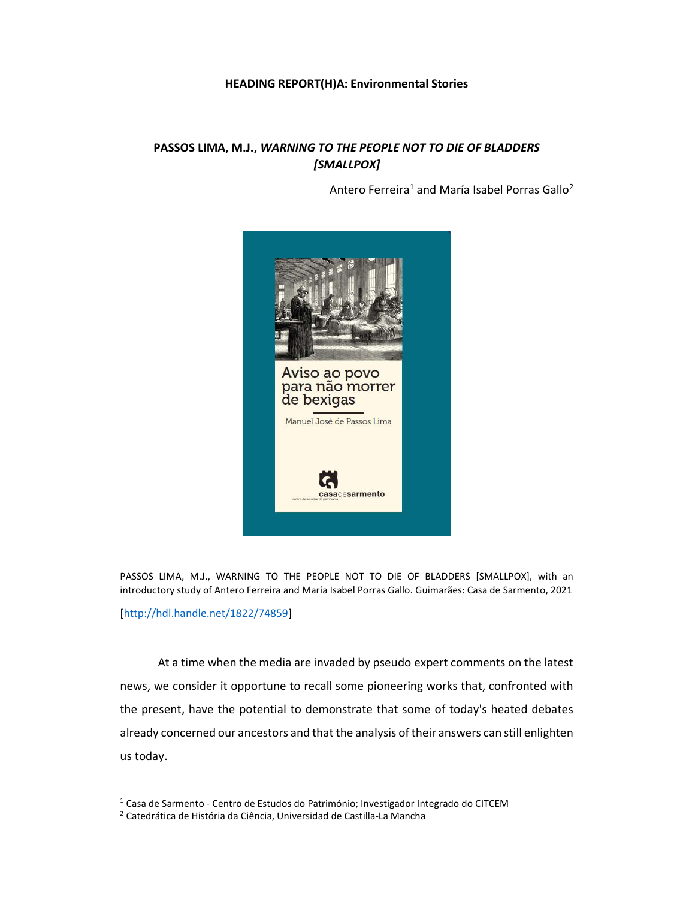## HEADING REPORT(H)A: Environmental Stories

## PASSOS LIMA, M.J., WARNING TO THE PEOPLE NOT TO DIE OF BLADDERS [SMALLPOX]

Antero Ferreira<sup>1</sup> and María Isabel Porras Gallo<sup>2</sup>



PASSOS LIMA, M.J., WARNING TO THE PEOPLE NOT TO DIE OF BLADDERS [SMALLPOX], with an introductory study of Antero Ferreira and María Isabel Porras Gallo. Guimarães: Casa de Sarmento, 2021

[http://hdl.handle.net/1822/74859]

l

At a time when the media are invaded by pseudo expert comments on the latest news, we consider it opportune to recall some pioneering works that, confronted with the present, have the potential to demonstrate that some of today's heated debates already concerned our ancestors and that the analysis of their answers can still enlighten us today.

<sup>&</sup>lt;sup>1</sup> Casa de Sarmento - Centro de Estudos do Património; Investigador Integrado do CITCEM

<sup>2</sup> Catedrática de História da Ciência, Universidad de Castilla-La Mancha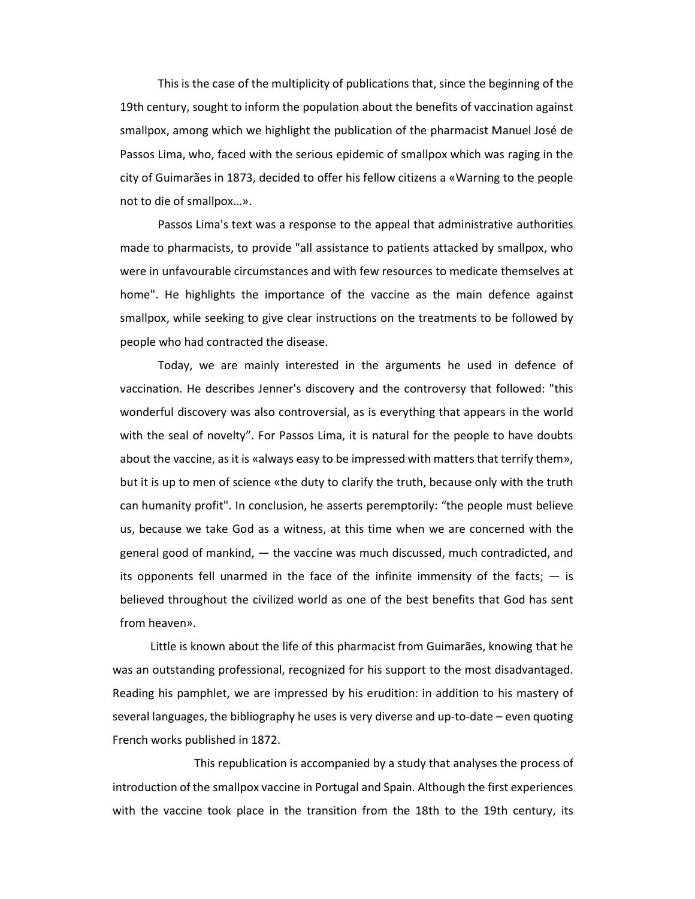This is the case of the multiplicity of publications that, since the beginning of the 19th century, sought to inform the population about the benefits of vaccination against smallpox, among which we highlight the publication of the pharmacist Manuel José de Passos Lima, who, faced with the serious epidemic of smallpox which was raging in the city of Guimarães in 1873, decided to offer his fellow citizens a «Warning to the people not to die of smallpox…».

Passos Lima's text was a response to the appeal that administrative authorities made to pharmacists, to provide "all assistance to patients attacked by smallpox, who were in unfavourable circumstances and with few resources to medicate themselves at home". He highlights the importance of the vaccine as the main defence against smallpox, while seeking to give clear instructions on the treatments to be followed by people who had contracted the disease.

Today, we are mainly interested in the arguments he used in defence of vaccination. He describes Jenner's discovery and the controversy that followed: "this wonderful discovery was also controversial, as is everything that appears in the world with the seal of novelty". For Passos Lima, it is natural for the people to have doubts about the vaccine, as it is «always easy to be impressed with matters that terrify them», but it is up to men of science «the duty to clarify the truth, because only with the truth can humanity profit". In conclusion, he asserts peremptorily: "the people must believe us, because we take God as a witness, at this time when we are concerned with the general good of mankind, — the vaccine was much discussed, much contradicted, and its opponents fell unarmed in the face of the infinite immensity of the facts;  $-$  is believed throughout the civilized world as one of the best benefits that God has sent from heaven».

Little is known about the life of this pharmacist from Guimarães, knowing that he was an outstanding professional, recognized for his support to the most disadvantaged. Reading his pamphlet, we are impressed by his erudition: in addition to his mastery of several languages, the bibliography he uses is very diverse and up-to-date – even quoting French works published in 1872.

This republication is accompanied by a study that analyses the process of introduction of the smallpox vaccine in Portugal and Spain. Although the first experiences with the vaccine took place in the transition from the 18th to the 19th century, its